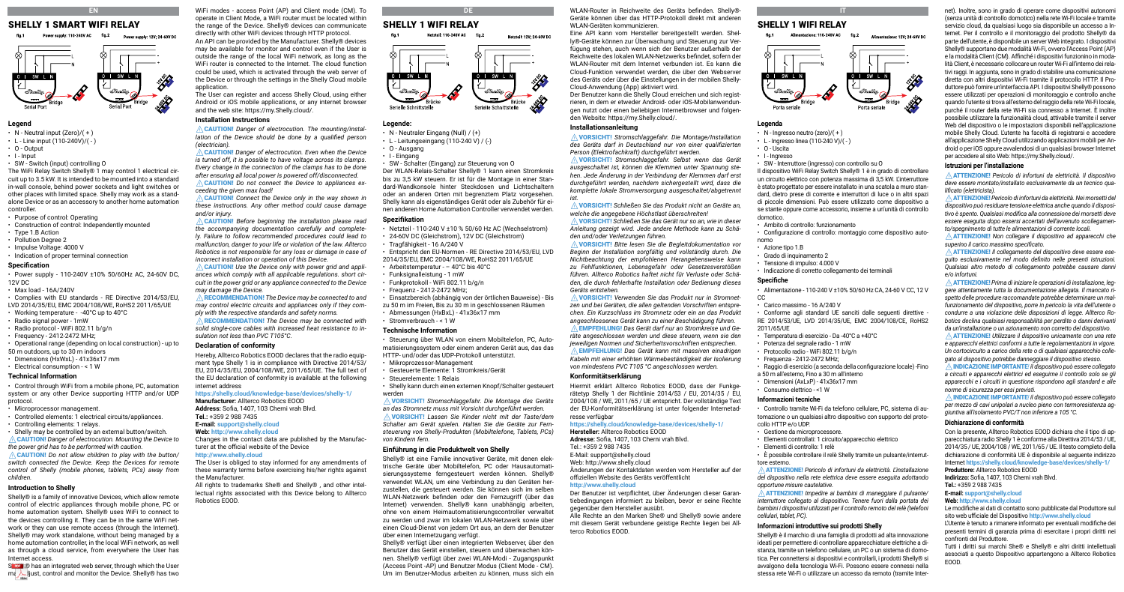# SHELLY 1 SMART WIFI RELAY

**EN**



### **Legend**

- $\cdot$  N Neutral input (Zero)/(+)
- $\cdot$  L Line input (110-240V)/(-)
- $\cdot$  0 Output
- $\cdot$  I Input
- SW Switch (input) controlling O

The WiFi Relay Switch Shelly® 1 may control 1 electrical circuit up to 3.5 kW. It is intended to be mounted into a standard in-wall console, behind power sockets and light switches or other places with limited space. Shelly may work as a standalone Device or as an accessory to another home automation controller.

- Purpose of control: Operating
- Construction of control: Independently mounted
- Type 1.B Action
- Pollution Degree 2
- Impulse Voltage: 4000 V
- Indication of proper terminal connection

#### **Specification**

• Power supply - 110-240V ±10% 50/60Hz AC, 24-60V DC, 12V DC

- Max load 16A/240V
- Complies with EU standards RE Directive 2014/53/EU, LVD 2014/35/EU, EMC 2004/108/WE, RoHS2 2011/65/UE
- Working temperature -40°C up to 40°C
- Radio signal power 1mW
- Radio protocol WiFi 802.11 b/g/n
- Frequency 2412-2472 MHz;

• Operational range (depending on local construction) - up to 50 m outdoors, up to 30 m indoors

- Dimensions (HxWxL) 41x36x17 mm
- Electrical consumption < 1 W

### **Technical Information**

• Control through WiFi from a mobile phone, PC, automation system or any other Device supporting HTTP and/or UDP protocol.

- Microprocessor management.
- Controlled elements: 1 electrical circuits/appliances.
- Controlling elements: 1 relays. • Shelly may be controlled by an external button/switch.

⚠CAUTION! *Danger of electrocution. Mounting the Device to the power grid has to be performed with caution.*

⚠CAUTION! *Do not allow children to play with the button/ switch connected the Device. Keep the Devices for remote control of Shelly (mobile phones, tablets, PCs) away from children.*

### **Introduction to Shelly**

Shelly® is a family of innovative Devices, which allow remote control of electric appliances through mobile phone, PC or home automation system. Shelly® uses WiFi to connect to the devices controlling it. They can be in the same WiFi network or they can use remote access (through the Internet). Shelly® may work standalone, without being managed by a home automation controller, in the local WiFi network, as well as through a cloud service, from everywhere the User has Internet access.

Sheel ® has an integrated web server, through which the User may aljust, control and monitor the Device. Shelly® has two

# **DE** SHELLY 1 WIFI RELAY



nen anderen Home Automation Controller verwendet werden.

• Netzteil - 110-240 V ±10 % 50/60 Hz AC (Wechselstrom) • 24-60V DC (Gleichstrom), 12V DC (Gleichstrom)

• Entspricht den EU-Normen - RE Directive 2014/53/EU, LVD 2014/35/EU, EMC 2004/108/WE, RoHS2 2011/65/UE • Arbeitstemperatur - – 40°C bis 40°C • Funksignalleistung - 1 mW • Funkprotokoll - WiFi 802.11 b/g/n • Frequenz - 2412-2472 MHz;

• Einsatzbereich (abhängig von der örtlichen Bauweise) - Bis zu 50 m im Freien, Bis zu 30 m in geschlossenen Räumen

• Steuerung über WLAN von einem Mobiltelefon, PC, Automatisierungssystem oder einem anderen Gerät aus, das das HTTP- und/oder das UDP-Protokoll unterstützt. • Mikroprozessor-Management • Gesteuerte Elemente: 1 Stromkreis/Gerät

• Shelly kann durch einen externen Knopf/Schalter gesteuert

⚠VORSICHT! *Stromschlaggefahr. Die Montage des Geräts an das Stromnetz muss mit Vorsicht durchgeführt werden.* ⚠VORSICHT! *Lassen Sie Kinder nicht mit der Taste/dem Schalter am Gerät spielen. Halten Sie die Geräte zur Fernsteuerung von Shelly-Produkten (Mobiltelefone, Tablets, PCs)* 

Shelly® ist eine Familie innovativer Geräte, mit denen elektrische Geräte über Mobiltelefon, PC oder Hausautomatisierungssysteme ferngesteuert werden können. Shelly® verwendet WLAN, um eine Verbindung zu den Geräten herzustellen, die gesteuert werden. Sie können sich im selben WLAN-Netzwerk befinden oder den Fernzugriff (über das Internet) verwenden. Shelly® kann unabhängig arbeiten, ohne von einem Heimautomatisierungscontroller verwaltet zu werden und zwar im lokalen WLAN-Netzwerk sowie über einen Cloud-Dienst von jedem Ort aus, an dem der Benutzer

Shelly® verfügt über einen integrierten Webserver, über den Benutzer das Gerät einstellen, steuern und überwachen können. Shelly® verfügt über zwei WLAN-Modi - Zugangspunkt (Access Point -AP) und Benutzer Modus (Client Mode - CM). Um im Benutzer-Modus arbeiten zu können, muss sich ein

• Abmessungen (HxBxL) - 41x36x17 mm

**Einführung in die Produktwelt von Shelly**

über einen Internetzugang verfügt.

### **Legende:**

- N Neutraler Eingang (Null) / (+)
- $\cdot$  L Leitungseingang (110-240 V) / (-)
- O Ausgang ⚠CAUTION! *Danger of electrocution. Even when the Device* 
	- I Eingang

**Spezifikation**

• Tragfähigkeit - 16 A/240 V

• Stromverbrauch - < 1 W **Technische Information**

• Steuerelemente: 1 Relais

werden

*von Kindern fern.*

• SW - Schalter (Eingang) zur Steuerung von O Der WLAN-Relais-Schalter Shelly® 1 kann einen Stromkreis bis zu 3,5 kW steuern. Er ist für die Montage in einer Standard-Wandkonsole hinter Steckdosen und Lichtschaltern oder an anderen Orten mit begrenztem Platz vorgesehen. Shelly kann als eigenständiges Gerät oder als Zubehör für ei-*Every change in the connection of the clamps has to be done after ensuring all local power is powered off/disconnected.* ⚠CAUTION! *Do not connect the Device to appliances ex-*

⚠CAUTION! *Connect the Device only in the way shown in these instructions. Any other method could cause damage and/or injury.*

WiFi modes - access Point (AP) and Client mode (CM). To operate in Client Mode, a WiFi router must be located within the range of the Device. Shelly® devices can communicate directly with other WiFi devices through HTTP protocol. An API can be provided by the Manufacturer. Shelly® devices may be available for monitor and control even if the User is outside the range of the local WiFi network, as long as the WiFi router is connected to the Internet. The cloud function could be used, which is activated through the web server of the Device or through the settings in the Shelly Cloud mobile

The User can register and access Shelly Cloud, using either Android or iOS mobile applications, or any internet browser

⚠CAUTION! *Danger of electrocution. The mounting/installation of the Device should be done by a qualified person* 

*is turned off, it is possible to have voltage across its clamps.* 

and the web site: https://my.Shelly.cloud/.

**Installation Instructions**

*ceeding the given max load!*

⚠CAUTION! *Before beginning the installation please read the accompanying documentation carefully and completely. Failure to follow recommended procedures could lead to malfunction, danger to your life or violation of the law. Allterco Robotics is not responsible for any loss or damage in case of incorrect installation or operation of this Device.*

⚠CAUTION! *Use the Device only with power grid and appliances which comply with all applicable regulations. short circuit in the power grid or any appliance connected to the Device may damage the Device.*

⚠RECOMMENDATION! *Тhe Device may be connected to and may control electric circuits and appliances only if they comply with the respective standards and safety norms.*

⚠RECOMMENDATION! *The Device may be connected with solid single-core cables with increased heat resistance to insulation not less than PVC T105°C.* 

### **Declaration of conformity**

application.

*(electrician).*

Hereby, Allterco Robotics EOOD declares that the radio equipment type Shelly 1 is in compliance with Directive 2014/53/ EU, 2014/35/EU, 2004/108/WE, 2011/65/UE. The full text of the EU declaration of conformity is available at the following internet address

**https://shelly.cloud/knowledge-base/devices/shelly-1/**

**Manufacturer:** Allterco Robotics EOOD **Address:** Sofia, 1407, 103 Cherni vrah Blvd.

### **Tel.:** +359 2 988 7435

### **E-mail: support@shelly.cloud**

**Web: http://www.shelly.cloud** Changes in the contact data are published by the Manufacturer at the official website of the Device

### **http://www.shelly.cloud**

The User is obliged to stay informed for any amendments of these warranty terms before exercising his/her rights against the Manufacturer. All rights to trademarks She® and Shelly® , and other intel-

lectual rights associated with this Device belong to Allterco Robotics EOOD.

WLAN-Router in Reichweite des Geräts befinden. Shelly®- Geräte können über das HTTP-Protokoll direkt mit anderen WLAN-Geräten kommunizieren. Eine API kann vom Hersteller bereitgestellt werden. Shel-

ly®-Geräte können zur Überwachung und Steuerung zur Verfügung stehen, auch wenn sich der Benutzer außerhalb der Reichweite des lokalen WLAN-Netzwerks befindet, sofern der WLAN-Router mit dem Internet verbunden ist. Es kann die Cloud-Funktion verwendet werden, die über den Webserver des Geräts oder über die Einstellungen in der mobilen Shelly-Cloud-Anwendung (App) aktiviert wird.

Der Benutzer kann die Shelly Cloud erreichen und sich registrieren, in dem er etweder Android- oder iOS-Mobilanwendungen nutzt oder einen beliebigen Internetbrowser und folgenden Website: https://my.Shelly.cloud/.

### **Installationsanleitung**

⚠VORSICHT! *Stromschlaggefahr. Die Montage/Installation des Geräts darf in Deutschland nur von einer qualifizierten Person (Elektrofachkraft) durchgeführt werden.* ⚠VORSICHT! *Stromschlaggefahr. Selbst wenn das Gerät* 

*ausgeschaltet ist, können die Klemmen unter Spannung stehen. Jede Änderung in der Verbindung der Klemmen darf erst durchgeführt werden, nachdem sichergestellt wird, dass die komplette lokale Stromversorgung ausgeschaltet/abgetrennt ist.*

⚠VORSICHT! *Schließen Sie das Produkt nicht an Geräte an, welche die angegebene Höchstlast überschreiten!*

⚠VORSICHT! *Schließen Sie das Gerät nur so an, wie in dieser Anleitung gezeigt wird. Jede andere Methode kann zu Schäden und/oder Verletzungen führen.*

⚠VORSICHT! *Bitte lesen Sie die Begleitdokumentation vor Beginn der Installation sorgfältig und vollständig durch. Die Nichtbeachtung der empfohlenen Herangehensweise kann zu Fehlfunktionen, Lebensgefahr oder Gesetzesverstößen führen. Allterco Robotics haftet nicht für Verluste oder Schäden, die durch fehlerhafte Installation oder Bedienung dieses Geräts entstehen.*

⚠VORSICHT! *Verwenden Sie das Produkt nur in Stromnetzen und bei Geräten, die allen geltenden Vorschriften entsprechen. Ein Kurzschluss im Stromnetz oder ein an das Produkt angeschlossenes Gerät kann zu einer Beschädigung führen.* ⚠EMPFEHLUNG! *Das Gerät darf nur an Stromkreise und Geräte angeschlossen werden und diese steuern, wenn sie den jeweiligen Normen und Sicherheitsvorschriften entsprechen.* ⚠EMPFEHLUNG! *Das Gerät kann mit massiven einadrigen Kabeln mit einer erhöhten Wärmebeständigkeit der Isolierung von mindestens PVC T105 °C angeschlossen werden.*

### **Konformitätserklärung**

Hiermit erklärt Allterco Robotics EOOD, dass der Funkgerätetyp Shelly 1 der Richtlinie 2014/53 / EU, 2014/35 / EU, 2004/108 / WE, 2011/65 / UE entspricht. Der vollständige Text der EU-Konformitätserklärung ist unter folgender Internetadresse verfügbar

# **https://shelly.cloud/knowledge-base/devices/shelly-1/**

**Hersteller:** Allterco Robotics EOOD **Adresse:** Sofia, 1407, 103 Cherni vrah Blvd. Tel.: +359 2 988 7435 E-Mail: support@shelly.cloud Web: http://www.shelly.cloud

Änderungen der Kontaktdaten werden vom Hersteller auf der offiziellen Website des Geräts veröffentlicht

### **http://www.shelly.cloud**

Der Benutzer ist verpflichtet, über Änderungen dieser Garantiebedingungen informiert zu bleiben, bevor er seine Rechte gegenüber dem Hersteller ausübt.

Alle Rechte an den Marken She® und Shelly® sowie andere mit diesem Gerät verbundene geistige Rechte liegen bei Allterco Robotics EOOD.

# **IT SHELLY 1 WIFI RELAY**<br> $f_{\text{fq.1}}$  Alimentazione: 110-240V AC  $f_{\text{fq.2}}$

### Alimentezione: 12V: 24-60V DC



net). Inoltre, sono in grado di operare come dispositivi autonomi (senza unità di controllo domotico) nella rete Wi-Fi locale e tramite servizio cloud, da qualsiasi luogo sia disponibile un accesso a Internet. Per il controllo e il monitoraggio del prodotto Shelly® da parte dell'utente, è disponibile un server Web integrato. I dispositivi Shelly® supportano due modalità Wi-Fi, ovvero l'Access Point (AP) e la modalità Client (CM). Affinché i dispositivi funzionino in modalità Client, è necessario collocare un router Wi-Fi all'interno dei relativi raggi. In aggiunta, sono in grado di stabilire una comunicazione diretta con altri dispositivi Wi-Fi tramite il protocollo HTTP. Il Produttore può fornire un'interfaccia API. I dispositivi Shelly® possono essere utilizzati per operazioni di monitoraggio e controllo anche quando l'utente si trova all'esterno del raggio della rete Wi-Fi locale, purché il router della rete Wi-Fi sia connesso a Internet. È inoltre possibile utilizzare la funzionalità cloud, attivabile tramite il server Web del dispositivo o le impostazioni disponibili nell'applicazione mobile Shelly Cloud. L'utente ha facoltà di registrarsi e accedere all'applicazione Shelly Cloud utilizzando applicazioni mobili per Android o per iOS oppure avvalendosi di un qualsiasi browser Internet per accedere al sito Web: https://my.Shelly.cloud/.

⚠ATTENZIONE! *Pericolo di infortuni da elettricità. Il dispositivo deve essere montato/installato esclusivamente da un tecnico qua-*

⚠ATTENZIONE! *Pericolo di infortuni da elettricità. Nei morsetti del dispositivo può residuare tensione elettrica anche quando il dispositivo è spento. Qualsiasi modifica alla connessione dei morsetti deve essere eseguita dopo essersi accertati dell'avvenuto scollegamento/spegnimento di tutte le alimentazioni di corrente locali.* ⚠ATTENZIONE! *Non collegare il dispositivo ad apparecchi che* 

⚠ATTENZIONE! *Il collegamento del dispositivo deve essere eseguito esclusivamente nel modo definito nelle presenti istruzioni. Qualsiasi altro metodo di collegamento potrebbe causare danni* 

⚠ATTENZIONE! *Prima di iniziare le operazioni di installazione, leggere attentamente tutta la documentazione allegata. Il mancato rispetto delle procedure raccomandate potrebbe determinare un malfunzionamento del dispositivo, porre in pericolo la vita dell'utente o condurre a una violazione delle disposizioni di legge. Allterco Robotics declina qualsiasi responsabilità per perdite o danni derivanti da un'installazione o un azionamento non corretto del dispositivo.* ⚠ATTENZIONE! *Utilizzare il dispositivo unicamente con una rete e apparecchi elettrici conformi a tutte le regolamentazioni in vigore. Un cortocircuito a carico della rete o di qualsiasi apparecchio collegato al dispositivo potrebbe danneggiare il dispositivo stesso.* ⚠INDICAZIONE IMPORTANTE*! il dispositivo può essere collegato a circuiti e apparecchi elettrici ed eseguirne il controllo solo se gli apparecchi e i circuiti in questione rispondono agli standard e alle* 

⚠INDICAZIONE IMPORTANTE*! il dispositivo può essere collegato per mezzo di cavi unipolari a nucleo pieno con termoresistenza aggiuntiva all'isolamento PVC/T non inferiore a 105 °C.*

Con la presente, Allterco Robotics EOOD dichiara che il tipo di apparecchiatura radio Shelly 1 è conforme alla Direttiva 2014/53 / UE, 2014/35 / UE, 2004/108 / WE, 2011/65 / UE. Il testo completo della dichiarazione di conformità UE è disponibile al seguente indirizzo Internet **https://shelly.cloud/knowledge-base/devices/shelly-1/** 

Le modifiche ai dati di contatto sono pubblicate dal Produttore sul sito web ufficiale del Dispositivo **http://www.shelly.cloud**  L'Utente è tenuto a rimanere informato per eventuali modifiche dei presenti termini di garanzia prima di esercitare i propri diritti nei

Tutti i diritti sui marchi She® e Shelly® e altri diritti intellettuali associati a questo Dispositivo appartengono a Allterco Robotics

**Istruzioni per l'installazione**

*superino il carico massimo specificato.*

*norme di sicurezza per essi previsti.*

**Dichiarazione di conformità**

**Produttore:** Allterco Robotics EOOD **Indirizzo:** Sofia, 1407, 103 Cherni vrah Blvd.

**Tel.:** +359 2 988 7435 **E-mail: support@shelly.cloud Web: http://www.shelly.cloud**

confronti del Produttore.

EOOD.

*lificato (elettricista).*

*e/o infortuni.*

# **Legenda**

- $\cdot$  N Ingresso neutro (zero)/(+)
- $\cdot$  L Ingresso linea (110-240 V)/( $\cdot$ )
- O Uscita • I - Ingresso
- 

• SW - Interruttore (ingresso) con controllo su O Il dispositivo WiFi Relay Switch Shelly® 1 è in grado di controllare un circuito elettrico con potenza massima di 3,5 kW. L'interruttore è stato progettato per essere installato in una scatola a muro standard, dietro prese di corrente e interruttori di luce o in altri spazi di piccole dimensioni. Può essere utilizzato come dispositivo a se stante oppure come accessorio, insieme a un'unità di controllo domotico.

- Ambito di controllo: funzionamento
- Configurazione di controllo: montaggio come dispositivo autonomo
- Azione tipo 1.B
- Grado di inquinamento 2
- Tensione di impulso: 4.000 V
- Indicazione di corretto collegamento dei terminali

### **Specifiche**

- Alimentazione 110-240 V ±10% 50/60 Hz CA, 24-60 V CC, 12 V
- CC • Carico massimo - 16 A/240 V
- Conforme agli standard UE sanciti dalle seguenti direttive RE 2014/53/UE, LVD 2014/35/UE, EMC 2004/108/CE, RoHS2 2011/65/UE

• Raggio di esercizio (a seconda della configurazione locale) -Fino

• Controllo tramite Wi-Fi da telefono cellulare, PC, sistema di automazione o un qualsiasi altro dispositivo con supporto del proto-

• È possibile controllare il relè Shelly tramite un pulsante/interrut-

⚠ATTENZIONE! *Pericolo di infortuni da elettricità. L'installazione del dispositivo nella rete elettrica deve essere eseguita adottando* 

⚠ATTENZIONE! *Impedire ai bambini di maneggiare il pulsante/ interruttore collegato al dispositivo. Tenere fuori dalla portata dei bambini i dispositivi utilizzati per il controllo remoto del relè (telefoni* 

Shelly® è il marchio di una famiglia di prodotti ad alta innovazione ideati per permettere di controllare apparecchiature elettriche a distanza, tramite un telefono cellulare, un PC o un sistema di domotica. Per connettersi ai dispositivi e controllarli, i prodotti Shelly® si avvalgono della tecnologia Wi-Fi. Possono essere connessi nella stessa rete Wi-Fi o utilizzare un accesso da remoto (tramite Inter-

• Elementi controllati: 1 circuito/apparecchio elettrico

**Informazioni introduttive sui prodotti Shelly**

- Temperatura di esercizio Da -40°C a +40°C
- Potenza del segnale radio 1 mW
- Protocollo radio WiFi 802.11 b/g/n
- Frequenza 2412-2472 MHz; a 50 m all'esterno, Fino a 30 m all'interno

• Dimensioni (AxLxP) - 41x36x17 mm • Consumo elettrico - <1 W **Informazioni tecniche**

collo HTTP e/o UDP. • Gestione da microprocessore.

tore esterno.

*cellulari, tablet, PC).*

• Elementi di controllo: 1 relè

*opportune misure cautelative.*